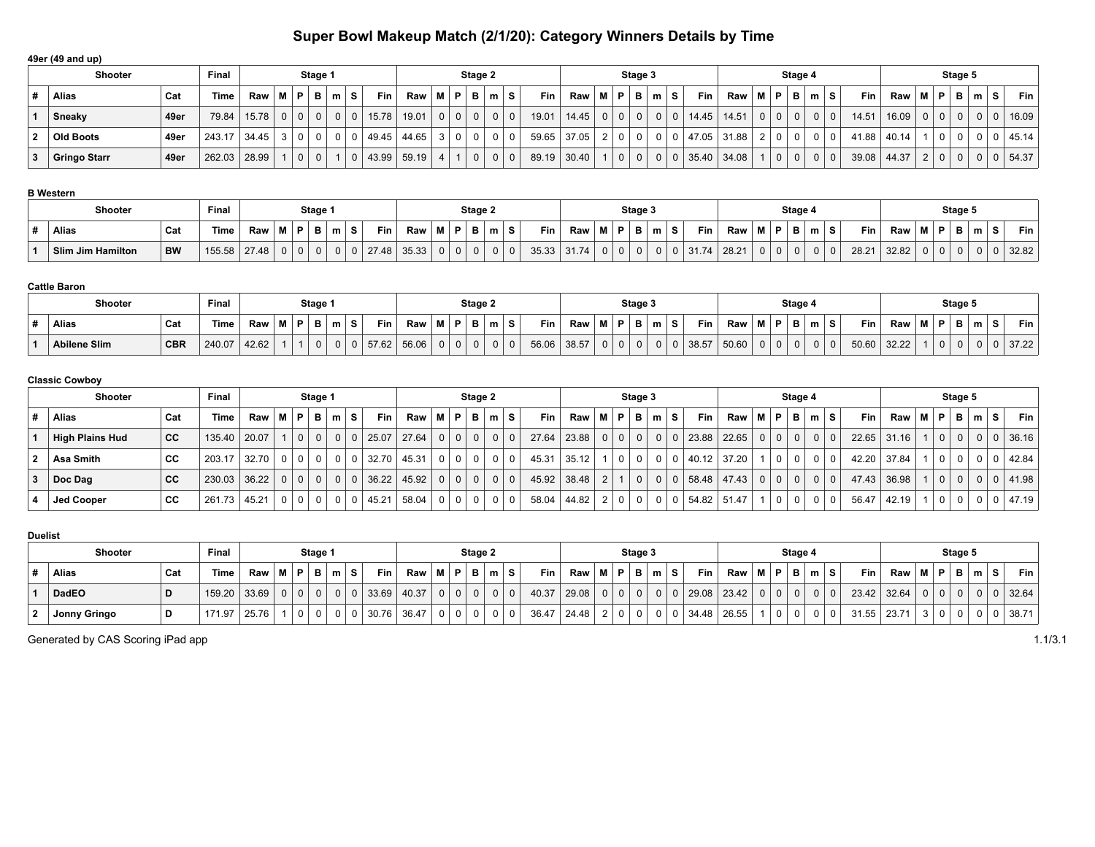# **Super Bowl Makeup Match (2/1/20): Category Winners Details by Time**

|    | 49er (49 and up) |      |                |                                                     |     |   |                |                |                         |                                                |     |                |                                 |          |            |                                                |                |                |                |                |            |       |         |                  |            |        |         |             |                |                |                |   |    |       |
|----|------------------|------|----------------|-----------------------------------------------------|-----|---|----------------|----------------|-------------------------|------------------------------------------------|-----|----------------|---------------------------------|----------|------------|------------------------------------------------|----------------|----------------|----------------|----------------|------------|-------|---------|------------------|------------|--------|---------|-------------|----------------|----------------|----------------|---|----|-------|
|    | <b>Shooter</b>   |      |                | Stage 2                                             |     |   |                |                |                         | Stage 3                                        |     |                |                                 |          |            | Stage 4                                        |                |                |                |                |            |       | Stage 5 |                  |            |        |         |             |                |                |                |   |    |       |
|    | Alias            | Cat  | <b>Time</b>    | $\mathsf{Raw} \mid \mathsf{M} \mid \mathsf{P} \mid$ |     |   | B              | m S            | <b>Fin</b>              | $\mathsf{Raw} \mid \mathsf{M} \mid \mathsf{P}$ |     | <b>B</b>       | $+$ m <sup><math>+</math></sup> | S.       | <b>Fin</b> | $\mathsf{Raw} \mid \mathsf{M} \mid \mathsf{P}$ |                | B              | _m   S         |                | <b>Fin</b> | Raw   | MP.     | . B <sup>j</sup> | $m \mid S$ |        | Fin $ $ | Raw         | M   P          |                | B              | m | ۱s | Fin I |
|    | Sneaky           | 49er | 79.84          | 15.78                                               | 0 0 |   | 0 <sup>1</sup> | $\overline{0}$ | 15.78<br>$\overline{0}$ | 19.01                                          | 0 0 | 0 <sup>1</sup> | $\mathbf{0}$                    | $\Omega$ | 19.01      | 14.45                                          | 0 <sup>1</sup> | $\overline{0}$ | 0 <sup>1</sup> | 0 <sup>1</sup> | 14.45      | 14.51 | $01$ 0  | 0 <sup>1</sup>   |            | $01$ 0 | 14.51   | 16.09       | 0 <sup>0</sup> |                | 0 <sup>1</sup> |   |    | 16.09 |
|    | Old Boots        | 49er | 243.17         | 34.45                                               | 3 0 |   | 0 <sup>1</sup> | $\Omega$       | 49.45                   | 44.65 3 0                                      |     | 0              |                                 | $\Omega$ | 59.65      | 37.05                                          | 0 <sup>1</sup> |                |                |                | 47.05      | 31.88 | 2 0     | 0 <sup>1</sup>   | 0 0        |        |         | 41.88 40.14 |                | $\overline{0}$ | 0 <sup>1</sup> |   |    | 45.14 |
| -3 | Gringo Starr     | 49er | 262.03   28.99 |                                                     |     | 0 | 0 <sup>1</sup> |                | 43.99<br>$\Omega$       | 59.19 4                                        |     | 0 <sup>1</sup> | 0 <sup>1</sup>                  | $\Omega$ |            | 89.19 30.40                                    | 0 <sup>1</sup> | $\overline{0}$ | 0 <sup>1</sup> | $\Omega$       | 35.40      | 34.08 | 0       | 0 <sup>1</sup>   | $0 \mid 0$ |        |         | 39.08 44.37 | $2 \mid 0$     |                | 0 <sup>1</sup> |   |    | 54.37 |

### **B Western**

| Shooter           |           | Final  |       |             | Stage 1       |             |     |       |       |             |    | Stage 2 |   |           |       |   | Stage 3 |                          |       |       |       | Stage 4 |         |       |       |           |   | Stage 5  |        |       |
|-------------------|-----------|--------|-------|-------------|---------------|-------------|-----|-------|-------|-------------|----|---------|---|-----------|-------|---|---------|--------------------------|-------|-------|-------|---------|---------|-------|-------|-----------|---|----------|--------|-------|
| Alias             | Cat       | Time   | Raw   | 'M I        | $P$ $\vert$ B | $m_{\perp}$ | - 3 | Fin   | Raw   | <b>B.A.</b> | D. | P       | m | Fin<br>S. | Raw   | м | D       | $\overline{\phantom{a}}$ | Fin   | Raw   | <br>D | в.      | m<br>-0 | Fin   | Raw   | <b>BA</b> | Ð | В        | $\sim$ | Fin   |
| Slim Jim Hamilton | <b>BW</b> | 155.58 | 27.48 | $\mathbf 0$ | n i           | 0           |     | 27.48 | 35.33 |             |    |         |   | 35.33     | 31.74 |   |         |                          | 31.74 | 28.21 |       |         |         | 28.21 | 32.82 |           |   | $\Omega$ |        | 32.82 |

#### **Cattle Baron**

| Shooter             |            | Final       |       |     | Stage 1 |   |   |      |       |   |     | Stage 2 |                |   |       |       |          | Stage 3        |   |          |       |       |       | Stage 4  |        |       |     |       |             | Stage 5 |   |       |
|---------------------|------------|-------------|-------|-----|---------|---|---|------|-------|---|-----|---------|----------------|---|-------|-------|----------|----------------|---|----------|-------|-------|-------|----------|--------|-------|-----|-------|-------------|---------|---|-------|
| <b>Alias</b>        | Cat        | <b>Time</b> | Raw   | M P | P       | m | s | Fin  | Raw   | М | ⊢D! | D.      | m <sub>1</sub> | s | Fin   | Raw   | в.       | $\blacksquare$ | m | s        | Fin   | Raw   | $M$ D | в.<br>D  | $\sim$ |       | Fin | Raw   | -8.4<br>IVI |         | m | Fin   |
| <b>Abilene Slim</b> | <b>CBR</b> | 240.07      | 42.62 |     |         |   |   | ' 62 | 56.06 |   | 0   |         |                |   | 56.06 | 38.57 | $\Omega$ | $\mathbf{0}$   |   | $\Omega$ | 38.57 | 50.60 |       | $\Omega$ |        | 50.60 |     | 32.22 |             |         | U | 37.22 |

#### **Classic Cowboy**

|   | <b>Shooter</b>    |     | <b>Final</b> |                          |       |                 | Stage 1        |           |                 |            |                                                |                | Stage 2        |                |            |            |                                                                | Stage 3        |                |                |                       |            |                |                | Stage 4        |                |    |            |                     |       |          | Stage 5        |                |     |               |
|---|-------------------|-----|--------------|--------------------------|-------|-----------------|----------------|-----------|-----------------|------------|------------------------------------------------|----------------|----------------|----------------|------------|------------|----------------------------------------------------------------|----------------|----------------|----------------|-----------------------|------------|----------------|----------------|----------------|----------------|----|------------|---------------------|-------|----------|----------------|----------------|-----|---------------|
|   | Alias             | Cat | Time         | $Raw \mid M \mid P \mid$ |       |                 | B              | $m$ $ S $ |                 | <b>Fin</b> | $\mathsf{Raw} \mid \mathsf{M} \mid \mathsf{P}$ |                | B I            |                | $m \mid S$ | <b>Fin</b> | $\mathsf{Raw} \mid \mathsf{M} \mid \mathsf{P} \mid \mathsf{B}$ |                |                | ∣m   S         | Fin $\vert$           | <b>Raw</b> | M              | P.             | в              | m <sub>1</sub> | s. | <b>Fin</b> | Raw                 | M   P |          | $\mathbf{B}$   | m <sub>1</sub> | S.  | <b>Fin</b>    |
|   | High Plains Hud   | cc  | 135.40 20.07 |                          |       | 0               | 0 <sup>1</sup> |           | $0 \mid 0 \mid$ | 25.07      | 27.64                                          | 0 <sup>1</sup> | $\Omega$       |                | $0$   0    | 27.64      | 23.88                                                          | $0 0 0 0 1$    |                |                | 0   0   23.88   22.65 |            | $\Omega$       | 0 <sup>1</sup> | $\overline{0}$ | 0 <sup>1</sup> |    | 22.65      | 31.16               |       | $\Omega$ | $\mathbf{0}$   |                |     | 0   0   36.16 |
| 2 | ∣ Asa Smith       | СC  | 203.17       | 32.70                    | $0$ 0 |                 | 0 <sup>1</sup> |           | $0$   $0$       | 32.70      | 45.31                                          | 0 <sup>1</sup> | 0 <sup>1</sup> |                | $\Omega$   | 45.31      | 35.12                                                          | 0 <sup>1</sup> | 0 <sup>1</sup> |                | 40.12 37.20           |            |                | $\Omega$       |                |                |    | 42.20      | $\frac{1}{37.84}$ i |       |          | $\mathbf{0}$   | $\mathbf 0$    | - 0 | 42.84         |
| 3 | $\vert$ Doc Dag   | CC  | 230.03 36.22 |                          |       | $0 \mid 0 \mid$ | 0 <sup>1</sup> |           | $0 \mid 0 \mid$ | 36.22      | 45.92                                          | 0 <sup>1</sup> | $\Omega$       | 0 <sup>1</sup> | $\Omega$   | 45.92      | 38.48                                                          |                | 0 <sup>1</sup> | 0 <sup>1</sup> | 0   58.48   47.43     |            | $\overline{0}$ | $\mathbf 0$    |                | 0              |    | 47.43      | 36.98               |       | $\Omega$ | $\mathbf{0}$   | 0 <sup>1</sup> |     | 0   41.98     |
|   | <b>Jed Cooper</b> | cс  | 261.73       | 45.21                    |       | $0$   $0$       | 0 <sup>1</sup> |           | $0$   $0$       | 45.21      | 58.04                                          | 0 <sup>1</sup> | $\Omega$       | $\Omega$       | $\Omega$   | 58.04      | 44.82                                                          | 0 0            |                | 0 <sup>1</sup> | 0   54.82   51.47     |            |                | $\Omega$       |                |                |    | 56.47      | 42.19               |       |          | $\overline{0}$ | 0 <sup>1</sup> | - 0 | 47.19         |

#### **Duelist**

|              | <b>Shooter</b> |     | Final          |     |             | Stage 1 |                |            |         |                |                | Stage 2        |                |    |            |                                               |          |                | Stage 3        |                |                                                  |     |      |     | Stage 4        |         |     |     |               |                |                | Stage 5        |                |              |                |
|--------------|----------------|-----|----------------|-----|-------------|---------|----------------|------------|---------|----------------|----------------|----------------|----------------|----|------------|-----------------------------------------------|----------|----------------|----------------|----------------|--------------------------------------------------|-----|------|-----|----------------|---------|-----|-----|---------------|----------------|----------------|----------------|----------------|--------------|----------------|
|              | Alias          | Cat | Time           | Raw | M P B m S   |         |                | <b>Fin</b> | Raw   M |                | P.             |                | B   m          | s. | <b>Fin</b> | $Raw \mid M \mid P \mid B \mid m \mid S \mid$ |          |                |                |                | Fin $\vert$                                      | Raw | IMP. |     | B              | m S     |     | Fin | Raw           | M   P          |                | в              | ່m⊓            | $\mathbf{z}$ | <b>Fin</b>     |
|              | DadEO          |     | 159.20 33.69   |     | $0 0 0 0 0$ |         | 0 <sup>1</sup> | 0 33.69    | 40.37   | 0 <sup>1</sup> | 0 <sup>1</sup> | 0 <sup>1</sup> | 0 <sup>1</sup> |    | 40.37      | 29.08                                         | $\Omega$ | $\Omega$       | $\overline{0}$ | 0 <sup>1</sup> | $\mid$ 0 $\mid$ 29.08 $\mid$ 23.42 $\mid$ $\mid$ |     |      | 0 0 | 0 <sup>1</sup> |         | 0 0 |     | $23.42$ 32.64 | 0 <sup>1</sup> | $\overline{0}$ | $\overline{0}$ | 0 <sup>1</sup> |              | $0 \mid 32.64$ |
| $\mathbf{2}$ | Jonny Gringo   |     | $171.97$ 25.76 |     | $\Omega$    |         | 0 <sup>1</sup> | 30.76      | 36.47   | $\Omega$       | $\overline{0}$ | 0 I            |                |    | 36.47      | 24.48                                         |          | 0 <sup>1</sup> | $\Omega$       |                | $0$ 34.48 26.55                                  |     |      |     | $\mathbf{0}$   | $0$   0 |     |     | $31.55$ 23.71 |                |                |                |                |              | $0$ 38.71      |

Generated by CAS Scoring iPad app 1.1/3.1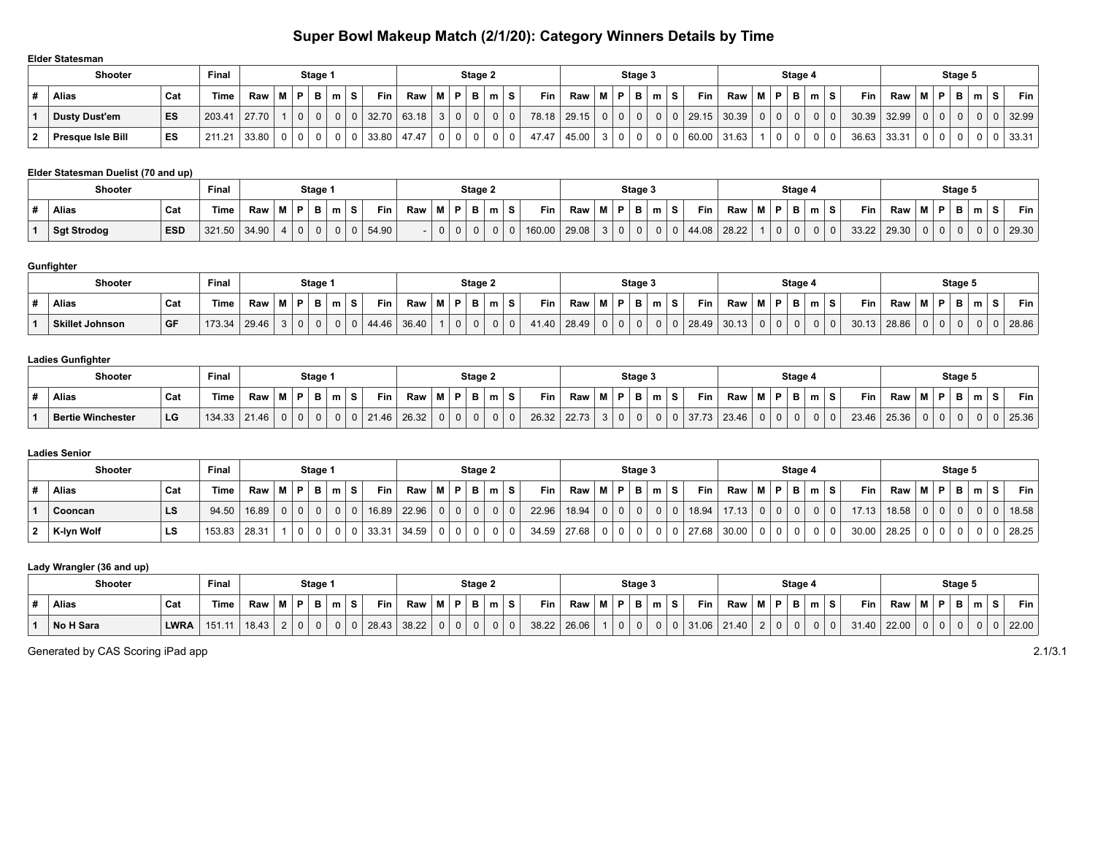## **Super Bowl Makeup Match (2/1/20): Category Winners Details by Time**

| Elder Statesman          |     |             |                          |                |         |                            |            |        |                |         |   |          |       |                                       |     |          |                                  |    |            |                                                                |                |                |                                            |                         |       |       |                 |                |          |       |
|--------------------------|-----|-------------|--------------------------|----------------|---------|----------------------------|------------|--------|----------------|---------|---|----------|-------|---------------------------------------|-----|----------|----------------------------------|----|------------|----------------------------------------------------------------|----------------|----------------|--------------------------------------------|-------------------------|-------|-------|-----------------|----------------|----------|-------|
| <b>Shooter</b>           |     | Final       |                          |                | Stage 1 |                            |            |        |                | Stage 2 |   |          |       |                                       |     |          | Stage 3                          |    |            |                                                                |                | Stage 4        |                                            |                         |       |       |                 | Stage 5        |          |       |
| <b>Alias</b>             | Cat | <b>Time</b> | $Raw \mid M \mid P \mid$ |                | B       | S.<br>$\mathsf{m}$         | <b>Fin</b> | Raw MI | P.             | в.      | m | s        | Fin   | $\mathsf{Raw} \mid \mathsf{M} \mid$ . |     | P.       | B m                              | s. | <b>Fin</b> | $\mathsf{Raw} \mid \mathsf{M} \mid \mathsf{P} \mid \mathsf{B}$ |                |                | $\mathsf{Im}\, \mathsf{I} \, \mathsf{S}$ , | <b>Fin</b>              | Raw   | M   P |                 | ∈B '           | ۱s<br>m  | Fin I |
| <b>Dusty Dust'em</b>     | ES  | 203.41      | 27.70                    | $\overline{0}$ |         | $\Omega$<br>0 <sup>1</sup> | 32.70      | 63.18  | 0 <sup>1</sup> |         |   | $\Omega$ | 78.18 | $\vert$ 29.15 $\vert$                 | 0 0 |          | 0 <sup>1</sup><br>0 <sup>1</sup> |    | 29.15      | 30.39                                                          | $0 \mid 0$     | 0 <sup>1</sup> | 0 <sup>1</sup>                             | $\overline{0}$<br>30.39 | 32.99 |       | 10 <sub>1</sub> | 0 <sup>1</sup> | $\Omega$ | 32.99 |
| <b>Presque Isle Bill</b> | ES  | 211.21      | 33.80                    | $0$   $0$      |         | $\Omega$                   | 33.80      | 47.47  |                |         |   |          | 47.47 | 45.00                                 |     | $\Omega$ | 0 <sup>1</sup>                   |    | 60.00      | 31.63                                                          | $\overline{0}$ | 0 <sup>1</sup> |                                            | 36.63                   | 33.31 |       | 0 <sup>1</sup>  | 0 <sup>1</sup> | 0 0      | 33.31 |

#### **Elder Statesman Duelist (70 and up)**

| <b>Shooter</b>     |            | Final  |       |     |   | Stage 1  |  |            |     |    | Stage 2 |   |        |       |           |   | Stage 3                         |   |       |       |       | Stage 4     |     |       |       |   |   | Stage 5      |        |            |
|--------------------|------------|--------|-------|-----|---|----------|--|------------|-----|----|---------|---|--------|-------|-----------|---|---------------------------------|---|-------|-------|-------|-------------|-----|-------|-------|---|---|--------------|--------|------------|
| Alias              | Cat        | Time   | Raw   | M I | Ð | в        |  | <b>Fin</b> | Raw | D. | в       | m | Fin    | Raw   | <b>BA</b> | D | . .<br>$\overline{\phantom{a}}$ | S | Fin   | Raw   | M   P | в           | m S | Fin   | Raw   | . | Ð | $\mathbf{B}$ | $\sim$ | <b>Fin</b> |
| <b>Sgt Strodog</b> | <b>ESD</b> | 321.50 | 34.90 |     |   | $\Omega$ |  | 54.90      |     |    |         |   | 160.00 | 29.08 |           |   |                                 |   | 44.08 | 28.22 |       | $\mathbf 0$ |     | 33.22 | 29.30 |   |   | $\mathbf{0}$ | 0      | 29.30      |

### **Gunfighter**

| Shooter                |      | Final  |       |             |   | Stage 1 |   |       |       |           |   | Stage 2 |        |       |       |              | Stage 3 |          |       |       |           | Stage 4  |            |    |       |       |      |   | Stage 5 |                          |       |
|------------------------|------|--------|-------|-------------|---|---------|---|-------|-------|-----------|---|---------|--------|-------|-------|--------------|---------|----------|-------|-------|-----------|----------|------------|----|-------|-------|------|---|---------|--------------------------|-------|
| Alias                  | Cat  | Time   | Raw   | <b>B.A.</b> | D | В.      | s | Fin   | Raw   | <b>BR</b> | Ð |         | $\sim$ | Fin   | Raw   | D.           | e       | m        | Fin   | Raw   | <b>MP</b> |          | <b>Box</b> | ۱S | Fin   | Raw   | -8.4 | Ð | B       | $\overline{\phantom{a}}$ | Fin   |
| <b>Skillet Johnson</b> | ∣ GF | 173.34 | 29.46 |             |   |         |   | 44.46 | 36.40 |           |   |         |        | 41.40 | 28.49 | <sup>0</sup> | 0       | $\Omega$ | 28.49 | 30.13 |           | $\Omega$ |            |    | 30.13 | 28.86 |      |   |         | $\Omega$                 | 28.86 |

#### **Ladies Gunfighter**

| .                 |     |        |       |               |          |         |              |                 |         |          |         |   |    |       |       |    |     |          |            |                  |       |       |         |   |       |       |             |   |         |        |       |
|-------------------|-----|--------|-------|---------------|----------|---------|--------------|-----------------|---------|----------|---------|---|----|-------|-------|----|-----|----------|------------|------------------|-------|-------|---------|---|-------|-------|-------------|---|---------|--------|-------|
| <b>Shooter</b>    |     | Fina.  |       |               |          | Stage 1 |              |                 |         |          | Stage 2 |   |    |       |       |    |     | Stage 3  |            |                  |       |       | Stage 4 |   |       |       |             |   | Stage 5 |        |       |
| Alias             | Cat | Time   | Raw   | - 88.<br>IVI. | <b>D</b> | Ð       | m            | <b>Fin</b><br>s | Raw   M | в.       | . .     | m | S. | Fin   | Raw   | мI | P I | - P - 1  | $m \mid S$ | Fin <sub>1</sub> | Raw   | <br>D | в.      | m | Fin   | Raw   | <b>BALL</b> | Ð | в       | $\sim$ | Fin   |
| Bertie Winchester | LG  | 134.33 | 21.46 |               |          |         | $\mathbf{0}$ | 21.46<br>$\cap$ | 26.32   | $\Omega$ | $0-1$   | 0 |    | 26.32 | 22.73 |    |     | $\Omega$ |            | 37.73            | 23.46 |       |         |   | 23.46 | 25.36 |             |   | 0       |        | 25.36 |

#### **Ladies Senior**

| <b>Shooter</b> |     | Final  |       |          |                | Stage 1  |                |    |       |       |           |          |    | Stage 2 |    |       |                 |     |        | Stage 3        |   |   |            |       |    | Stage 4     |                |    |            |       |     |                | Stage 5      |               |   |       |
|----------------|-----|--------|-------|----------|----------------|----------|----------------|----|-------|-------|-----------|----------|----|---------|----|-------|-----------------|-----|--------|----------------|---|---|------------|-------|----|-------------|----------------|----|------------|-------|-----|----------------|--------------|---------------|---|-------|
| Alias          | Cat | Time i | Raw   | мI       |                | P B      | $\mathsf{m}$   | -S | Fin   | Raw   | <b>BA</b> | P        | в. | m       | S. | Fin   | Raw             | M P |        | B              | m | s | <b>Fin</b> | Raw   | P. | B.          | m <sub>1</sub> | -S | <b>Fin</b> | Raw   | 88. | P              | в            | <b>Branch</b> | s | Fin - |
| Cooncan        | LS  | 94.50  | 16.89 | $\Omega$ | $\Omega$       | $\Omega$ | 0 <sup>1</sup> |    | 16.89 | 22.96 |           | $\Omega$ |    |         |    | 22.96 | 18.94           |     | $01$ 0 | 0 <sup>1</sup> |   |   | 18.94      | 17.13 |    | $\mathbf 0$ |                |    | 17.13      | 18.58 |     | 0 <sup>1</sup> | $\mathbf{0}$ |               |   | 18.58 |
| K-lyn Wolf     | LS  | 153.83 | 28.31 |          | 0 <sup>1</sup> |          |                |    | 33.31 | 34.59 |           |          |    |         |    |       | $34.59$   27.68 |     | n I n  |                |   |   | 27.68      | 30.00 |    | 0           |                |    | 30.00      | 28.25 |     |                |              |               |   | 28.25 |

## **Lady Wrangler (36 and up)**

|   | <b>Shooter</b> |             | Final  |       |           |   | Stage 1 |   |                   |                                     |                |       | Stage 2 |             |       |       |           | Stage 3 |   |            |       |     |                | Stage 4        |                |            |       |                        |                | Stage 5 |   |       |
|---|----------------|-------------|--------|-------|-----------|---|---------|---|-------------------|-------------------------------------|----------------|-------|---------|-------------|-------|-------|-----------|---------|---|------------|-------|-----|----------------|----------------|----------------|------------|-------|------------------------|----------------|---------|---|-------|
| # | Alias          | Cat         | Time   | Raw   | <b>BA</b> | Ð | в       | m | Fin<br>s          | $\mathsf{Raw} \mid \mathsf{M} \mid$ | $\mathbf{M}$ . | 1 D 1 | в       | $m_{\perp}$ | Fin   | Raw   | <b>MP</b> | ь       | m | <b>Fin</b> | Raw   | M I | P I            | <b>D</b>       | m S            | <b>Fin</b> | Raw   | $M$ $P$<br>$\cdot$ M . |                | - -     | m | Fin   |
|   | No H Sara      | <b>LWRA</b> | 151.11 | 18.43 |           |   |         |   | $\frac{1}{28.43}$ | 38.22                               | $\Omega$       |       |         | $\Omega$    | 38.22 | 26.06 |           |         |   | 31.06      | 21.40 |     | 0 <sup>1</sup> | 0 <sub>1</sub> | 0 <sup>1</sup> | 31.40      | 22.00 |                        | 0 <sub>0</sub> |         |   | 22.00 |

Generated by CAS Scoring iPad app 2.1/3.1